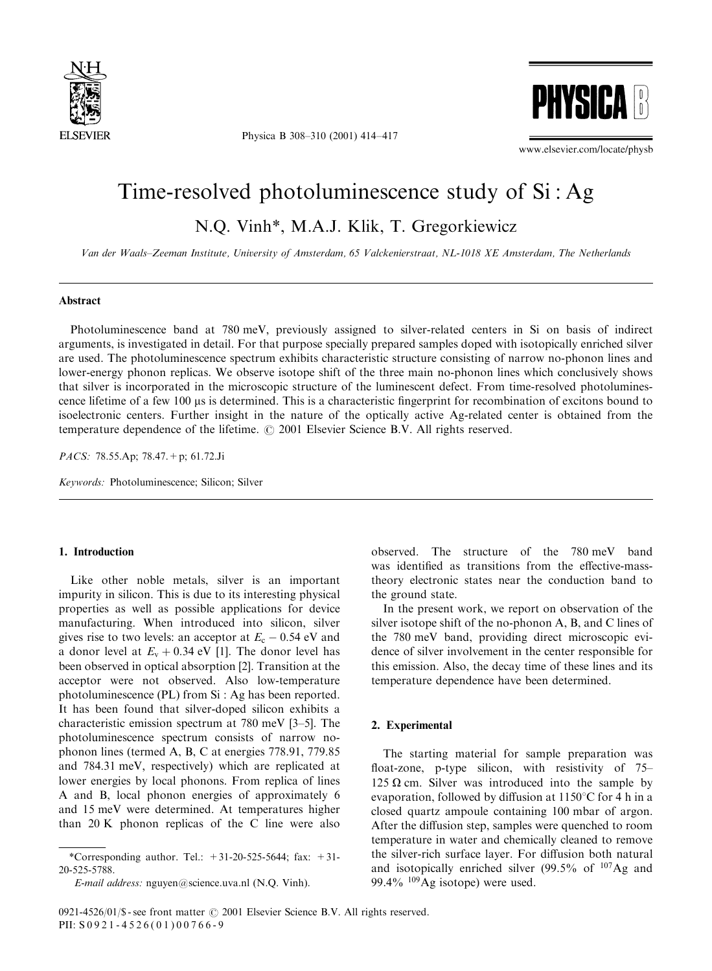

Physica B 308–310 (2001) 414–417



www.elsevier.com/locate/physb

# Time-resolved photoluminescence study of  $Si: Ag$

N.Q. Vinh\*, M.A.J. Klik, T. Gregorkiewicz

Van der Waals–Zeeman Institute, University of Amsterdam, 65 Valckenierstraat, NL-1018XE Amsterdam, The Netherlands

### Abstract

Photoluminescence band at 780 meV, previously assigned to silver-related centers in Si on basis of indirect arguments, is investigated in detail. For that purpose specially prepared samples doped with isotopically enriched silver are used. The photoluminescence spectrum exhibits characteristic structure consisting of narrow no-phonon lines and lower-energy phonon replicas. We observe isotope shift of the three main no-phonon lines which conclusively shows that silver is incorporated in the microscopic structure of the luminescent defect. From time-resolved photoluminescence lifetime of a few 100 ms is determined. This is a characteristic fingerprint for recombination of excitons bound to isoelectronic centers. Further insight in the nature of the optically active Ag-related center is obtained from the temperature dependence of the lifetime.  $\odot$  2001 Elsevier Science B.V. All rights reserved.

PACS: 78.55.Ap; 78.47.+p; 61.72.Ji

Keywords: Photoluminescence; Silicon; Silver

## 1. Introduction

Like other noble metals, silver is an important impurity in silicon. This is due to its interesting physical properties as well as possible applications for device manufacturing. When introduced into silicon, silver gives rise to two levels: an acceptor at  $E_c$  – 0.54 eV and a donor level at  $E_v + 0.34$  eV [1]. The donor level has been observed in optical absorption [2]. Transition at the acceptor were not observed. Also low-temperature photoluminescence (PL) from Si : Ag has been reported. It has been found that silver-doped silicon exhibits a characteristic emission spectrum at 780 meV [3–5]. The photoluminescence spectrum consists of narrow nophonon lines (termed A, B, C at energies 778.91, 779.85 and 784:31 meV; respectively) which are replicated at lower energies by local phonons. From replica of lines A and B, local phonon energies of approximately 6 and 15 meV were determined. At temperatures higher than  $20 K$  phonon replicas of the C line were also

observed. The structure of the 780 meV band was identified as transitions from the effective-masstheory electronic states near the conduction band to the ground state.

In the present work, we report on observation of the silver isotope shift of the no-phonon A, B, and C lines of the 780 meV band, providing direct microscopic evidence of silver involvement in the center responsible for this emission. Also, the decay time of these lines and its temperature dependence have been determined.

## 2. Experimental

The starting material for sample preparation was float-zone, p-type silicon, with resistivity of  $75-$ 125  $\Omega$  cm. Silver was introduced into the sample by evaporation, followed by diffusion at  $1150^{\circ}$ C for 4 h in a closed quartz ampoule containing 100 mbar of argon. After the diffusion step, samples were quenched to room temperature in water and chemically cleaned to remove the silver-rich surface layer. For diffusion both natural and isotopically enriched silver  $(99.5\% \text{ of }^{107}\text{Ag and})$ 99.4%  $^{109}$ Ag isotope) were used.

<sup>\*</sup>Corresponding author. Tel.:  $+31-20-525-5644$ ; fax:  $+31-$ 20-525-5788.

E-mail address: nguyen@science.uva.nl (N.Q. Vinh).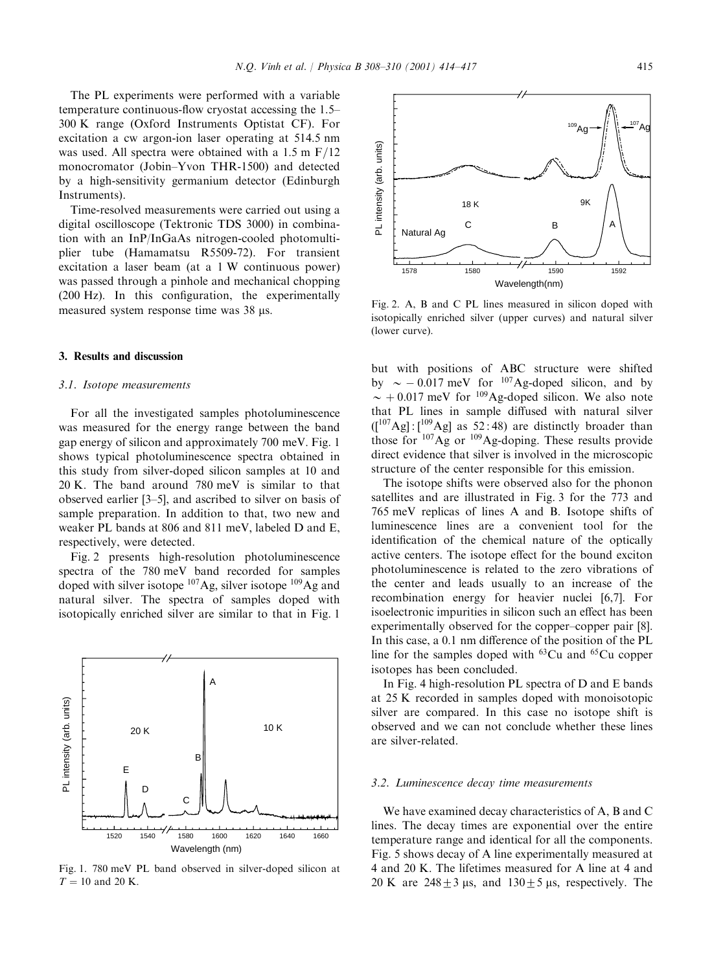The PL experiments were performed with a variable temperature continuous-flow cryostat accessing the 1.5– 300 K range (Oxford Instruments Optistat CF). For excitation a cw argon-ion laser operating at 514.5 nm was used. All spectra were obtained with a  $1.5 \text{ m }F/12$ monocromator (Jobin–Yvon THR-1500) and detected by a high-sensitivity germanium detector (Edinburgh Instruments).

Time-resolved measurements were carried out using a digital oscilloscope (Tektronic TDS 3000) in combination with an InP/InGaAs nitrogen-cooled photomultiplier tube (Hamamatsu R5509-72). For transient excitation a laser beam (at a 1 W continuous power) was passed through a pinhole and mechanical chopping (200 Hz). In this configuration, the experimentally measured system response time was 38 µs.

#### 3. Results and discussion

#### 3.1. Isotope measurements

For all the investigated samples photoluminescence was measured for the energy range between the band gap energy of silicon and approximately 700 meV. Fig. 1 shows typical photoluminescence spectra obtained in this study from silver-doped silicon samples at 10 and 20 K: The band around 780 meV is similar to that observed earlier [3–5], and ascribed to silver on basis of sample preparation. In addition to that, two new and weaker PL bands at 806 and 811 meV; labeled D and E, respectively, were detected.

Fig. 2 presents high-resolution photoluminescence spectra of the 780 meV band recorded for samples doped with silver isotope  $107\text{Ag}$ , silver isotope  $109\text{Ag}$  and natural silver. The spectra of samples doped with isotopically enriched silver are similar to that in Fig. 1



Fig. 1. 780 meV PL band observed in silver-doped silicon at  $T = 10$  and 20 K.



Fig. 2. A, B and C PL lines measured in silicon doped with isotopically enriched silver (upper curves) and natural silver (lower curve).

but with positions of ABC structure were shifted by  $\sim$  -0.017 meV for <sup>107</sup>Ag-doped silicon, and by  $\sim +0.017$  meV for <sup>109</sup>Ag-doped silicon. We also note that PL lines in sample diffused with natural silver  $\left(\frac{107}{\text{Ag}}\right)$ :  $\left[\frac{109}{\text{Ag}}\right]$  as 52:48) are distinctly broader than those for  $107\text{Ag}$  or  $109\text{Ag-doping}$ . These results provide direct evidence that silver is involved in the microscopic structure of the center responsible for this emission.

The isotope shifts were observed also for the phonon satellites and are illustrated in Fig. 3 for the 773 and 765 meV replicas of lines A and B. Isotope shifts of luminescence lines are a convenient tool for the identification of the chemical nature of the optically active centers. The isotope effect for the bound exciton photoluminescence is related to the zero vibrations of the center and leads usually to an increase of the recombination energy for heavier nuclei [6,7]. For isoelectronic impurities in silicon such an effect has been experimentally observed for the copper–copper pair [8]. In this case, a 0.1 nm difference of the position of the PL line for the samples doped with  $^{63}Cu$  and  $^{65}Cu$  copper isotopes has been concluded.

In Fig. 4 high-resolution PL spectra of  $D$  and  $E$  bands at 25 K recorded in samples doped with monoisotopic silver are compared. In this case no isotope shift is observed and we can not conclude whether these lines are silver-related.

#### 3.2. Luminescence decay time measurements

We have examined decay characteristics of A, B and C lines. The decay times are exponential over the entire temperature range and identical for all the components. Fig. 5 shows decay of A line experimentally measured at 4 and 20 K: The lifetimes measured for A line at 4 and 20 K are  $248\pm3$  µs, and  $130\pm5$  µs, respectively. The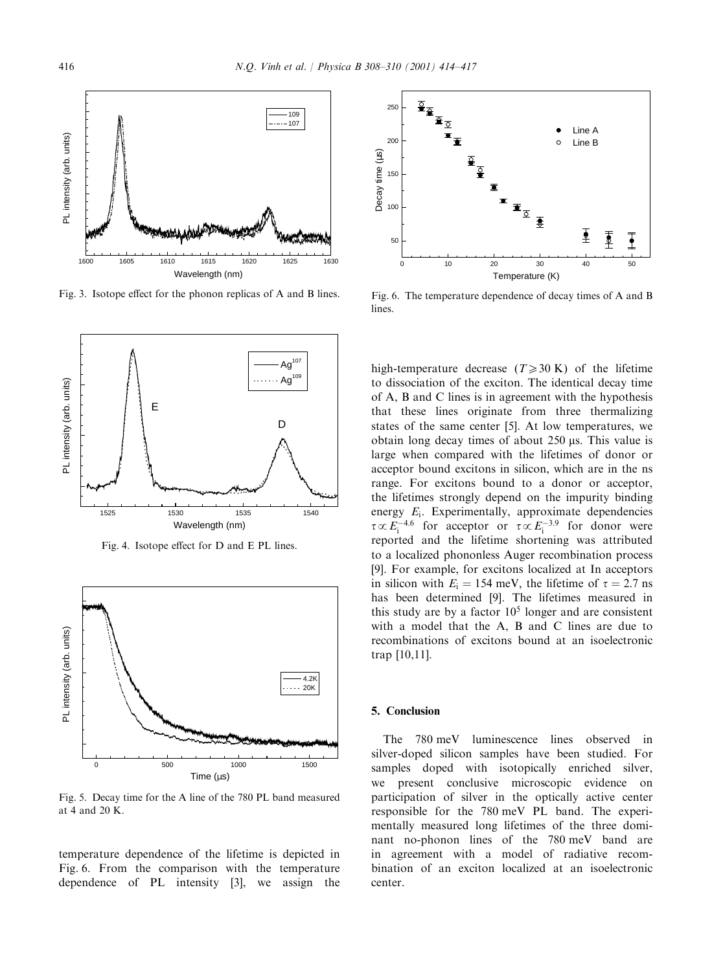

Fig. 3. Isotope effect for the phonon replicas of A and B lines.



Fig. 4. Isotope effect for D and E PL lines.



Fig. 5. Decay time for the A line of the 780 PL band measured at 4 and 20 K:

temperature dependence of the lifetime is depicted in Fig. 6. From the comparison with the temperature dependence of  $PL$  intensity  $[3]$ , we assign the



Fig. 6. The temperature dependence of decay times of A and B lines.

high-temperature decrease  $(T \ge 30 \text{ K})$  of the lifetime to dissociation of the exciton. The identical decay time ofA, B and C lines is in agreement with the hypothesis that these lines originate from three thermalizing states of the same center [5]. At low temperatures, we obtain long decay times of about  $250 \mu s$ . This value is large when compared with the lifetimes of donor or acceptor bound excitons in silicon, which are in the ns range. For excitons bound to a donor or acceptor, the lifetimes strongly depend on the impurity binding energy  $E_i$ . Experimentally, approximate dependencies  $\tau \propto E_i^{-4.6}$  for acceptor or  $\tau \propto E_i^{-3.9}$  for donor were reported and the lifetime shortening was attributed to a localized phononless Auger recombination process [9]. For example, for excitons localized at In acceptors in silicon with  $E_i = 154$  meV, the lifetime of  $\tau = 2.7$  ns has been determined [9]. The lifetimes measured in this study are by a factor  $10<sup>5</sup>$  longer and are consistent with a model that the A, B and C lines are due to recombinations of excitons bound at an isoelectronic trap [10,11].

## 5. Conclusion

The 780 meV luminescence lines observed in silver-doped silicon samples have been studied. For samples doped with isotopically enriched silver, we present conclusive microscopic evidence on participation of silver in the optically active center responsible for the 780 meV PL band. The experimentally measured long lifetimes of the three dominant no-phonon lines of the 780 meV band are in agreement with a model of radiative recombination of an exciton localized at an isoelectronic center.